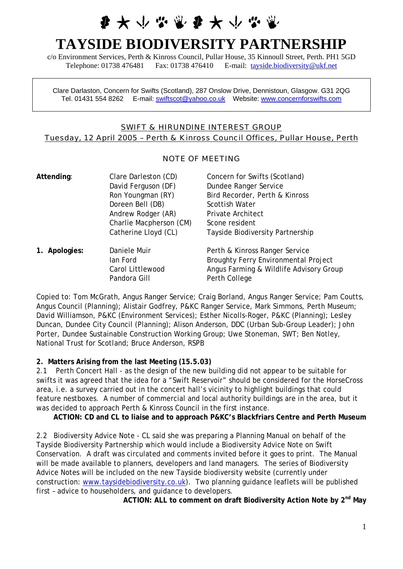# **要大小心业要大小心**

# **TAYSIDE BIODIVERSITY PARTNERSHIP**

c/o Environment Services, Perth & Kinross Council, Pullar House, 35 Kinnoull Street, Perth. PH1 5GD Telephone: 01738 476481 Fax: 01738 476410 E-mail: [tayside.biodiversity@ukf.net](mailto:tayside.biodiversity@ukf.net)

Clare Darlaston, Concern for Swifts (Scotland), 287 Onslow Drive, Dennistoun, Glasgow. G31 2QG Tel. 01431 554 8262 E-mail: [swiftscot@yahoo.co.uk](mailto:swiftscot@yahoo.co.uk) Website: [www.concernforswifts.com](http://www.concernforswifts.com/) 

### SWIFT & HIRUNDINE INTEREST GROUP Tuesday, 12 April 2005 – Perth & Kinross Council Offices, Pullar House, Perth

#### NOTE OF MEETING

| Attending:       | Clare Darleston (CD)    | Concern for Swifts (Scotland)               |
|------------------|-------------------------|---------------------------------------------|
|                  | David Ferguson (DF)     | Dundee Ranger Service                       |
|                  | Ron Youngman (RY)       | Bird Recorder, Perth & Kinross              |
|                  | Doreen Bell (DB)        | <b>Scottish Water</b>                       |
|                  | Andrew Rodger (AR)      | <b>Private Architect</b>                    |
|                  | Charlie Macpherson (CM) | Scone resident                              |
|                  | Catherine Lloyd (CL)    | Tayside Biodiversity Partnership            |
| Apologies:<br>1. | Daniele Muir            | Perth & Kinross Ranger Service              |
|                  | lan Ford                | <b>Broughty Ferry Environmental Project</b> |
|                  | Carol Littlewood        | Angus Farming & Wildlife Advisory Group     |
|                  | Pandora Gill            | Perth College                               |

Copied to: Tom McGrath, Angus Ranger Service; Craig Borland, Angus Ranger Service; Pam Coutts, Angus Council (Planning); Alistair Godfrey, P&KC Ranger Service, Mark Simmons, Perth Museum; David Williamson, P&KC (Environment Services); Esther Nicolls-Roger, P&KC (Planning); Lesley Duncan, Dundee City Council (Planning); Alison Anderson, DDC (Urban Sub-Group Leader); John Porter, Dundee Sustainable Construction Working Group; Uwe Stoneman, SWT; Ben Notley, National Trust for Scotland; Bruce Anderson, RSPB

#### **2. Matters Arising from the last Meeting (15.5.03)**

2.1 Perth Concert Hall - as the design of the new building did not appear to be suitable for swifts it was agreed that the idea for a "Swift Reservoir" should be considered for the HorseCross area, i.e. a survey carried out in the concert hall's vicinity to highlight buildings that could feature nestboxes. A number of commercial and local authority buildings are in the area, but it was decided to approach Perth & Kinross Council in the first instance.

**ACTION: CD and CL to liaise and to approach P&KC's Blackfriars Centre and Perth Museum** 

2.2 Biodiversity Advice Note - CL said she was preparing a Planning Manual on behalf of the Tayside Biodiversity Partnership which would include a Biodiversity Advice Note on Swift Conservation. A draft was circulated and comments invited before it goes to print. The Manual will be made available to planners, developers and land managers. The series of Biodiversity Advice Notes will be included on the new Tayside biodiversity website (currently under construction: [www.taysidebiodiversity.co.uk](http://www.taysidebiodiversity.co.uk/)). Two planning guidance leaflets will be published first – advice to householders, and guidance to developers.

ACTION: ALL to comment on draft Biodiversity Action Note by 2<sup>nd</sup> May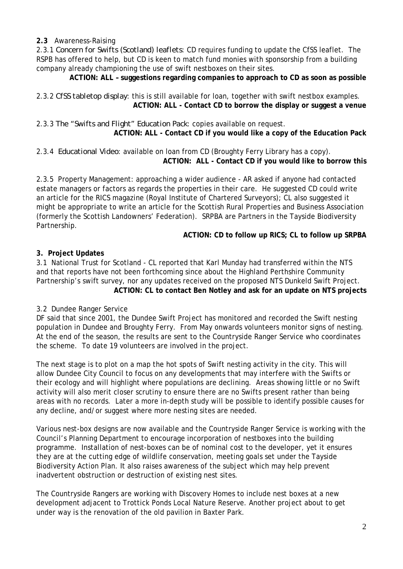## **2.3** Awareness-Raising

2.3.1 *Concern for Swifts (Scotland) leaflets*: CD requires funding to update the CfSS leaflet. The RSPB has offered to help, but CD is keen to match fund monies with sponsorship from a building company already championing the use of swift nestboxes on their sites.

**ACTION: ALL – suggestions regarding companies to approach to CD as soon as possible** 

2.3.2 *CfSS tabletop display*: this is still available for loan, together with swift nestbox examples. **ACTION: ALL - Contact CD to borrow the display or suggest a venue** 

2.3.3 *The "Swifts and Flight" Education Pack*: copies available on request. **ACTION: ALL - Contact CD if you would like a copy of the Education Pack** 

2.3.4 *Educational Video*: available on loan from CD (Broughty Ferry Library has a copy). **ACTION: ALL - Contact CD if you would like to borrow this** 

2.3.5 Property Management: approaching a wider audience - AR asked if anyone had contacted estate managers or factors as regards the properties in their care. He suggested CD could write an article for the RICS magazine (Royal Institute of Chartered Surveyors); CL also suggested it might be appropriate to write an article for the Scottish Rural Properties and Business Association (formerly the Scottish Landowners' Federation). SRPBA are Partners in the Tayside Biodiversity Partnership.

**ACTION: CD to follow up RICS; CL to follow up SRPBA** 

# **3. Project Updates**

3.1 National Trust for Scotland - CL reported that Karl Munday had transferred within the NTS and that reports have not been forthcoming since about the Highland Perthshire Community Partnership's swift survey, nor any updates received on the proposed NTS Dunkeld Swift Project. **ACTION: CL to contact Ben Notley and ask for an update on NTS projects** 

# 3.2 Dundee Ranger Service

DF said that since 2001, the Dundee Swift Project has monitored and recorded the Swift nesting population in Dundee and Broughty Ferry. From May onwards volunteers monitor signs of nesting. At the end of the season, the results are sent to the Countryside Ranger Service who coordinates the scheme. To date 19 volunteers are involved in the project.

The next stage is to plot on a map the hot spots of Swift nesting activity in the city. This will allow Dundee City Council to focus on any developments that may interfere with the Swifts or their ecology and will highlight where populations are declining. Areas showing little or no Swift activity will also merit closer scrutiny to ensure there are no Swifts present rather than being areas with no records. Later a more in-depth study will be possible to identify possible causes for any decline, and/or suggest where more nesting sites are needed.

Various nest-box designs are now available and the Countryside Ranger Service is working with the Council's Planning Department to encourage incorporation of nestboxes into the building programme. Installation of nest-boxes can be of nominal cost to the developer, yet it ensures they are at the cutting edge of wildlife conservation, meeting goals set under the Tayside Biodiversity Action Plan. It also raises awareness of the subject which may help prevent inadvertent obstruction or destruction of existing nest sites.

The Countryside Rangers are working with Discovery Homes to include nest boxes at a new development adjacent to Trottick Ponds Local Nature Reserve. Another project about to get under way is the renovation of the old pavilion in Baxter Park.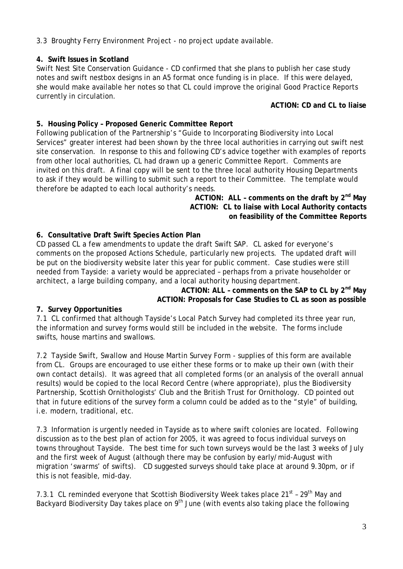3.3 Broughty Ferry Environment Project - no project update available.

# **4. Swift Issues in Scotland**

Swift Nest Site Conservation Guidance - CD confirmed that she plans to publish her case study notes and swift nestbox designs in an A5 format once funding is in place. If this were delayed, she would make available her notes so that CL could improve the original Good Practice Reports currently in circulation.

### **ACTION: CD and CL to liaise**

# **5. Housing Policy – Proposed Generic Committee Report**

Following publication of the Partnership's "Guide to Incorporating Biodiversity into Local Services" greater interest had been shown by the three local authorities in carrying out swift nest site conservation. In response to this and following CD's advice together with examples of reports from other local authorities, CL had drawn up a generic Committee Report. Comments are invited on this draft. A final copy will be sent to the three local authority Housing Departments to ask if they would be willing to submit such a report to their Committee. The template would therefore be adapted to each local authority's needs.

> **ACTION: ALL - comments on the draft by 2<sup>nd</sup> May ACTION: CL to liaise with Local Authority contacts on feasibility of the Committee Reports**

# **6. Consultative Draft Swift Species Action Plan**

CD passed CL a few amendments to update the draft Swift SAP. CL asked for everyone's comments on the proposed Actions Schedule, particularly new projects. The updated draft will be put on the biodiversity website later this year for public comment. Case studies were still needed from Tayside: a variety would be appreciated – perhaps from a private householder or architect, a large building company, and a local authority housing department.

ACTION: ALL - comments on the SAP to CL by 2<sup>nd</sup> May **ACTION: Proposals for Case Studies to CL as soon as possible 7. Survey Opportunities**

7.1 CL confirmed that although Tayside's Local Patch Survey had completed its three year run, the information and survey forms would still be included in the website. The forms include swifts, house martins and swallows.

7.2 Tayside Swift, Swallow and House Martin Survey Form - supplies of this form are available from CL. Groups are encouraged to use either these forms or to make up their own (with their own contact details). It was agreed that all completed forms (or an analysis of the overall annual results) would be copied to the local Record Centre (where appropriate), plus the Biodiversity Partnership, Scottish Ornithologists' Club and the British Trust for Ornithology. CD pointed out that in future editions of the survey form a column could be added as to the "style" of building, i.e. modern, traditional, etc.

7.3 Information is urgently needed in Tayside as to where swift colonies are located. Following discussion as to the best plan of action for 2005, it was agreed to focus individual surveys on towns throughout Tayside. The best time for such town surveys would be the last 3 weeks of July and the first week of August (although there may be confusion by early/mid-August with migration 'swarms' of swifts). CD suggested surveys should take place at around 9.30pm, or if this is not feasible, mid-day.

7.3.1 CL reminded everyone that Scottish Biodiversity Week takes place  $21<sup>st</sup>$  -  $29<sup>th</sup>$  May and Backyard Biodiversity Day takes place on  $9<sup>th</sup>$  June (with events also taking place the following